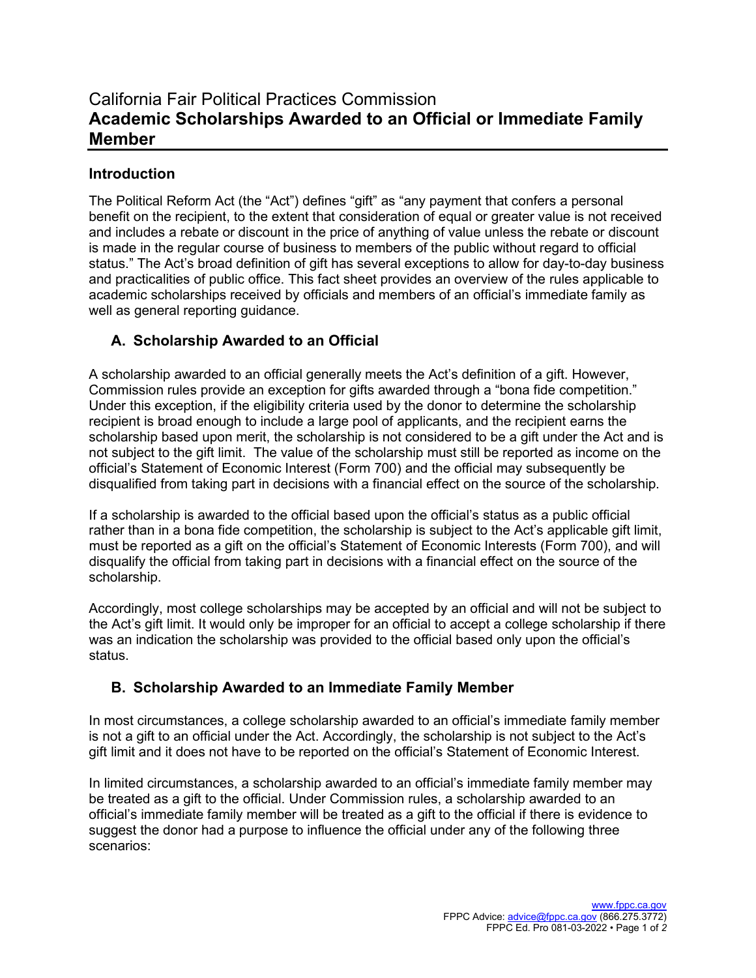## **Introduction**

The Political Reform Act (the "Act") defines "gift" as "any payment that confers a personal benefit on the recipient, to the extent that consideration of equal or greater value is not received and includes a rebate or discount in the price of anything of value unless the rebate or discount is made in the regular course of business to members of the public without regard to official status." The Act's broad definition of gift has several exceptions to allow for day-to-day business and practicalities of public office. This fact sheet provides an overview of the rules applicable to academic scholarships received by officials and members of an official's immediate family as well as general reporting guidance.

## **A. Scholarship Awarded to an Official**

A scholarship awarded to an official generally meets the Act's definition of a gift. However, Commission rules provide an exception for gifts awarded through a "bona fide competition." Under this exception, if the eligibility criteria used by the donor to determine the scholarship recipient is broad enough to include a large pool of applicants, and the recipient earns the scholarship based upon merit, the scholarship is not considered to be a gift under the Act and is not subject to the gift limit. The value of the scholarship must still be reported as income on the official's Statement of Economic Interest (Form 700) and the official may subsequently be disqualified from taking part in decisions with a financial effect on the source of the scholarship.

If a scholarship is awarded to the official based upon the official's status as a public official rather than in a bona fide competition, the scholarship is subject to the Act's applicable gift limit, must be reported as a gift on the official's Statement of Economic Interests (Form 700), and will disqualify the official from taking part in decisions with a financial effect on the source of the scholarship.

Accordingly, most college scholarships may be accepted by an official and will not be subject to the Act's gift limit. It would only be improper for an official to accept a college scholarship if there was an indication the scholarship was provided to the official based only upon the official's status.

## **B. Scholarship Awarded to an Immediate Family Member**

In most circumstances, a college scholarship awarded to an official's immediate family member is not a gift to an official under the Act. Accordingly, the scholarship is not subject to the Act's gift limit and it does not have to be reported on the official's Statement of Economic Interest.

In limited circumstances, a scholarship awarded to an official's immediate family member may be treated as a gift to the official. Under Commission rules, a scholarship awarded to an official's immediate family member will be treated as a gift to the official if there is evidence to suggest the donor had a purpose to influence the official under any of the following three scenarios: